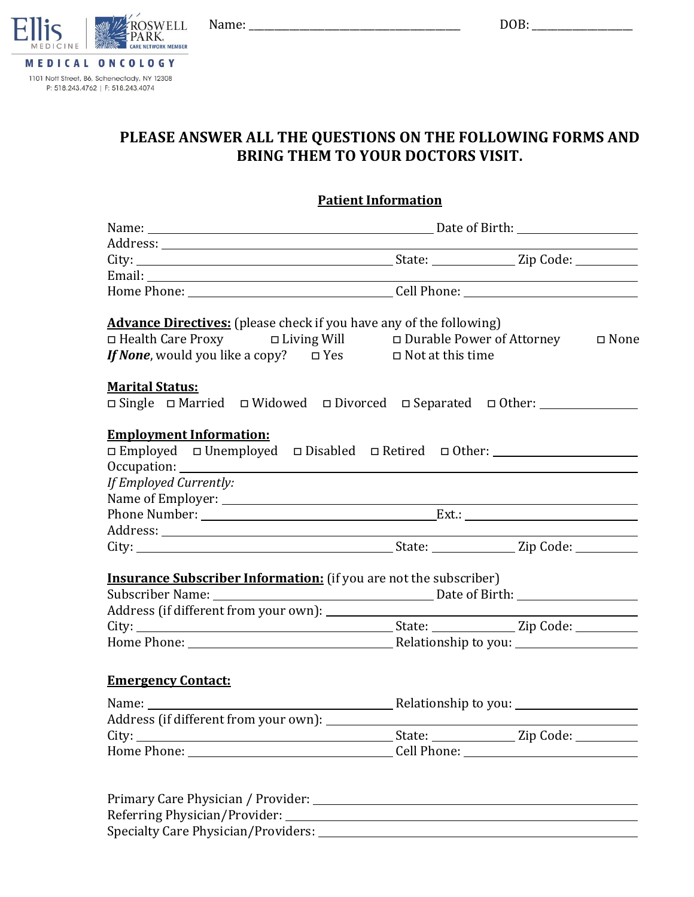

MEDICAL ONCOLOGY 1101 Nott Street, B6, Schenectady, NY 12308 P: 518.243.4762 | F: 518.243.4074

# **PLEASE ANSWER ALL THE QUESTIONS ON THE FOLLOWING FORMS AND BRING THEM TO YOUR DOCTORS VISIT.**

## **Patient Information**

| <b>Advance Directives:</b> (please check if you have any of the following)<br>Indeem Durable Power of Attorney Durable Power of Attorney Diving Will Durable Power of Attorney<br>If None, would you like a copy? $\Box$ Yes $\Box$ Not at this time |  |  |  |  |
|------------------------------------------------------------------------------------------------------------------------------------------------------------------------------------------------------------------------------------------------------|--|--|--|--|
| <b>Marital Status:</b><br>□ Single □ Married □ Widowed □ Divorced □ Separated □ Other: __________________                                                                                                                                            |  |  |  |  |
|                                                                                                                                                                                                                                                      |  |  |  |  |
| <b>Employment Information:</b><br>□ Employed □ Unemployed □ Disabled □ Retired □ Other: __________________________<br>If Employed Currently:                                                                                                         |  |  |  |  |
|                                                                                                                                                                                                                                                      |  |  |  |  |
|                                                                                                                                                                                                                                                      |  |  |  |  |
|                                                                                                                                                                                                                                                      |  |  |  |  |
|                                                                                                                                                                                                                                                      |  |  |  |  |
| <b>Insurance Subscriber Information:</b> (if you are not the subscriber)                                                                                                                                                                             |  |  |  |  |
|                                                                                                                                                                                                                                                      |  |  |  |  |
|                                                                                                                                                                                                                                                      |  |  |  |  |
|                                                                                                                                                                                                                                                      |  |  |  |  |
|                                                                                                                                                                                                                                                      |  |  |  |  |
|                                                                                                                                                                                                                                                      |  |  |  |  |
| <b>Emergency Contact:</b>                                                                                                                                                                                                                            |  |  |  |  |
|                                                                                                                                                                                                                                                      |  |  |  |  |
|                                                                                                                                                                                                                                                      |  |  |  |  |
|                                                                                                                                                                                                                                                      |  |  |  |  |
| Home Phone: ___________________________________Cell Phone: ______________________                                                                                                                                                                    |  |  |  |  |
|                                                                                                                                                                                                                                                      |  |  |  |  |
|                                                                                                                                                                                                                                                      |  |  |  |  |
| Primary Care Physician / Provider:                                                                                                                                                                                                                   |  |  |  |  |

Referring Physician/Provider: Specialty Care Physician/Providers: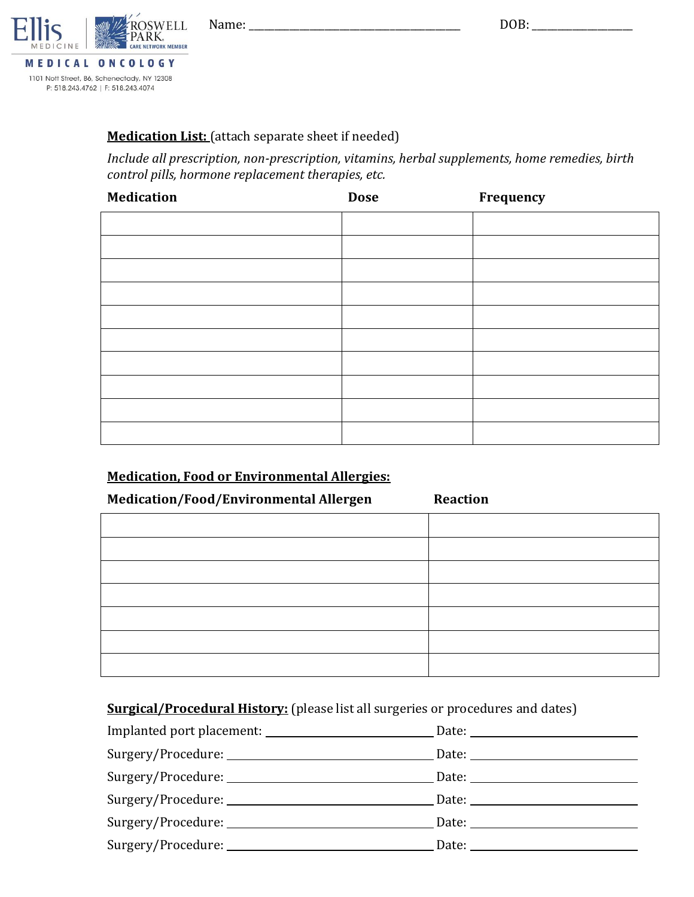

MEDICAL ONCOLOGY 1101 Nott Street, B6, Schenectady, NY 12308 P: 518.243.4762 | F: 518.243.4074

# **Medication List:** (attach separate sheet if needed)

*Include all prescription, non-prescription, vitamins, herbal supplements, home remedies, birth control pills, hormone replacement therapies, etc.*

| <b>Medication</b> | <b>Dose</b> | Frequency |
|-------------------|-------------|-----------|
|                   |             |           |
|                   |             |           |
|                   |             |           |
|                   |             |           |
|                   |             |           |
|                   |             |           |
|                   |             |           |
|                   |             |           |
|                   |             |           |
|                   |             |           |

# **Medication, Food or Environmental Allergies:**

| Medication/Food/Environmental Allergen | <b>Reaction</b> |
|----------------------------------------|-----------------|
|                                        |                 |
|                                        |                 |
|                                        |                 |
|                                        |                 |
|                                        |                 |
|                                        |                 |
|                                        |                 |

# **Surgical/Procedural History:** (please list all surgeries or procedures and dates)

|                    | Date: $\frac{1}{\sqrt{1-\frac{1}{2}}}\left\{ \frac{1}{2}, \frac{1}{2}, \frac{1}{2}, \frac{1}{2}\right\}$                                                                                                                       |
|--------------------|--------------------------------------------------------------------------------------------------------------------------------------------------------------------------------------------------------------------------------|
| Surgery/Procedure: | Date: the contract of the contract of the contract of the contract of the contract of the contract of the contract of the contract of the contract of the contract of the contract of the contract of the contract of the cont |
|                    |                                                                                                                                                                                                                                |
|                    | Date: the contract of the contract of the contract of the contract of the contract of the contract of the contract of the contract of the contract of the contract of the contract of the contract of the contract of the cont |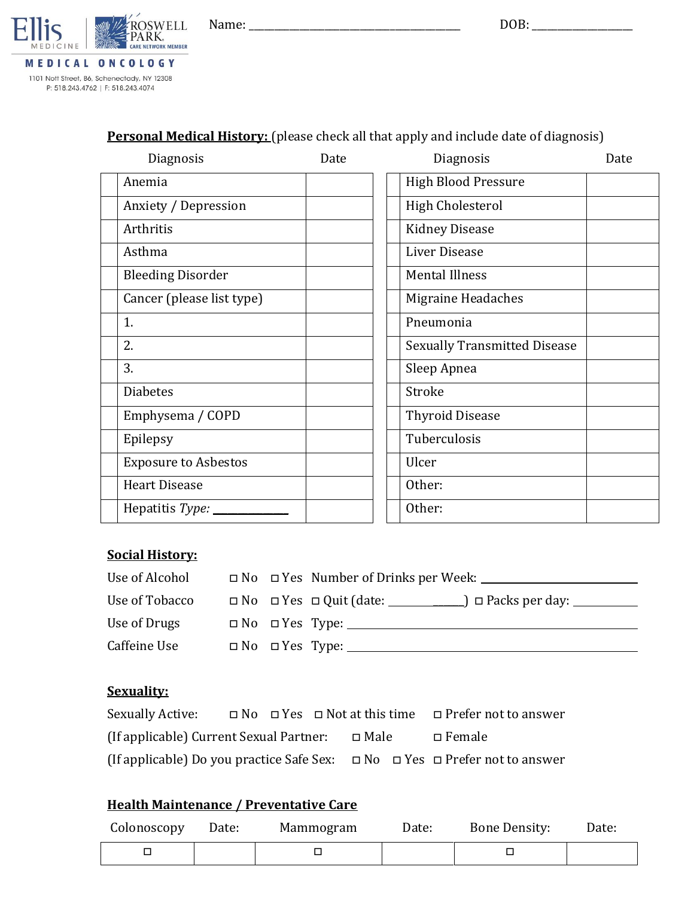Name: \_\_\_\_\_\_\_\_\_\_\_\_\_\_\_\_\_\_\_\_\_\_\_\_\_\_\_\_\_\_\_\_\_\_\_\_\_\_\_\_\_\_ DOB: \_\_\_\_\_\_\_\_\_\_\_\_\_\_\_\_\_\_\_\_



# **Personal Medical History:** (please check all that apply and include date of diagnosis)

| Diagnosis                   | Date | Diagnosis                           | Date |
|-----------------------------|------|-------------------------------------|------|
| Anemia                      |      | <b>High Blood Pressure</b>          |      |
| Anxiety / Depression        |      | <b>High Cholesterol</b>             |      |
| Arthritis                   |      | <b>Kidney Disease</b>               |      |
| Asthma                      |      | Liver Disease                       |      |
| <b>Bleeding Disorder</b>    |      | <b>Mental Illness</b>               |      |
| Cancer (please list type)   |      | Migraine Headaches                  |      |
| 1.                          |      | Pneumonia                           |      |
| 2.                          |      | <b>Sexually Transmitted Disease</b> |      |
| 3.                          |      | Sleep Apnea                         |      |
| <b>Diabetes</b>             |      | Stroke                              |      |
| Emphysema / COPD            |      | <b>Thyroid Disease</b>              |      |
| Epilepsy                    |      | Tuberculosis                        |      |
| <b>Exposure to Asbestos</b> |      | Ulcer                               |      |
| <b>Heart Disease</b>        |      | Other:                              |      |
| Hepatitis Type: ____        |      | Other:                              |      |

## **Social History:**

| Use of Alcohol |  | $\Box$ No $\Box$ Yes Number of Drinks per Week:                        |  |
|----------------|--|------------------------------------------------------------------------|--|
| Use of Tobacco |  | $\Box$ No $\Box$ Yes $\Box$ Quit (date: $\Box$ ) $\Box$ Packs per day: |  |
| Use of Drugs   |  | $\Box$ No $\Box$ Yes Type:                                             |  |
| Caffeine Use   |  | $\Box$ No $\Box$ Yes Type:                                             |  |

# **Sexuality:**

| Sexually Active:                        |  |             | $\Box$ No $\Box$ Yes $\Box$ Not at this time $\Box$ Prefer not to answer                   |
|-----------------------------------------|--|-------------|--------------------------------------------------------------------------------------------|
| (If applicable) Current Sexual Partner: |  | $\Box$ Male | $\Box$ Female                                                                              |
|                                         |  |             | (If applicable) Do you practice Safe Sex: $\Box$ No $\Box$ Yes $\Box$ Prefer not to answer |

# **Health Maintenance / Preventative Care**

| Colonoscopy | Date: | Mammogram | Date: | <b>Bone Density:</b> | Date: |
|-------------|-------|-----------|-------|----------------------|-------|
|             |       |           |       |                      |       |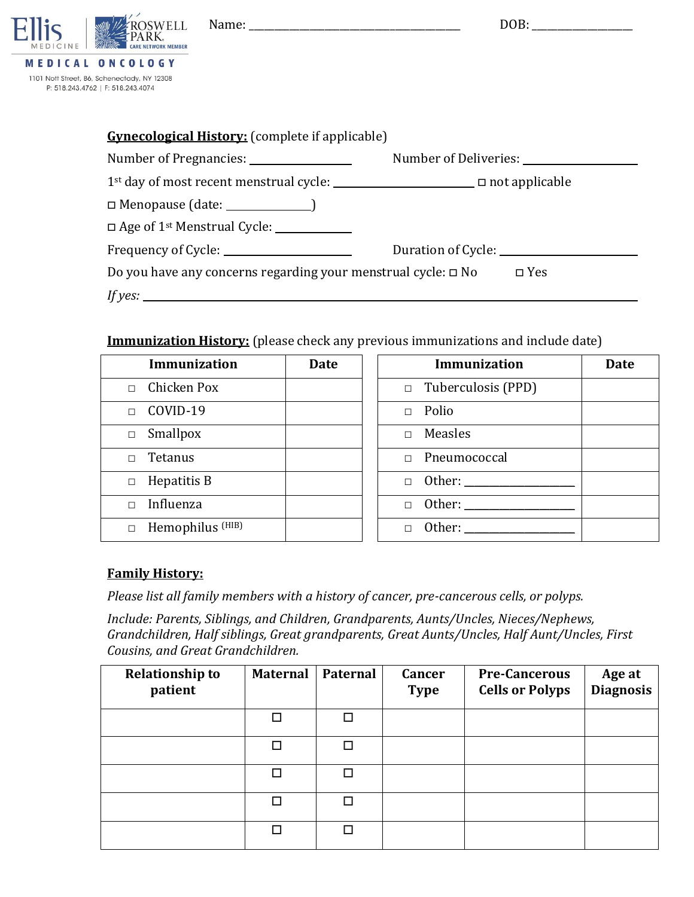

1101 Nott Street, B6, Schenectady, NY 12308 P: 518.243.4762 | F: 518.243.4074

| <b>Gynecological History:</b> (complete if applicable)                                           |                       |
|--------------------------------------------------------------------------------------------------|-----------------------|
| Number of Pregnancies: ___________________                                                       | Number of Deliveries: |
| 1 <sup>st</sup> day of most recent menstrual cycle: <u>______________________</u> not applicable |                       |
|                                                                                                  |                       |
| $\Box$ Age of 1 <sup>st</sup> Menstrual Cycle: $\Box$                                            |                       |
| Frequency of Cycle: _______________________                                                      |                       |
| Do you have any concerns regarding your menstrual cycle: $\square$ No $\square$ Yes              |                       |
| If yes: $\frac{1}{2}$ if yes:                                                                    |                       |

## **Immunization History:** (please check any previous immunizations and include date)

| Immunization                | <b>Date</b> | <b>Immunization</b>       | <b>Date</b> |
|-----------------------------|-------------|---------------------------|-------------|
| Chicken Pox<br>$\Box$       |             | $\Box$ Tuberculosis (PPD) |             |
| COVID-19<br>$\Box$          |             | Polio<br>$\Box$           |             |
| Smallpox<br>$\Box$          |             | Measles<br>$\Box$         |             |
| Tetanus                     |             | Pneumococcal              |             |
| Hepatitis B<br>$\Box$       |             | $\Box$                    |             |
| Influenza                   |             | Other:<br>$\Box$          |             |
| Hemophilus <sup>(HIB)</sup> |             | Other:                    |             |

## **Family History:**

*Please list all family members with a history of cancer, pre-cancerous cells, or polyps.*

*Include: Parents, Siblings, and Children, Grandparents, Aunts/Uncles, Nieces/Nephews, Grandchildren, Half siblings, Great grandparents, Great Aunts/Uncles, Half Aunt/Uncles, First Cousins, and Great Grandchildren.*

| <b>Relationship to</b><br>patient | <b>Maternal</b> | Paternal | <b>Cancer</b><br><b>Type</b> | <b>Pre-Cancerous</b><br><b>Cells or Polyps</b> | Age at<br><b>Diagnosis</b> |
|-----------------------------------|-----------------|----------|------------------------------|------------------------------------------------|----------------------------|
|                                   | П               |          |                              |                                                |                            |
|                                   | п               |          |                              |                                                |                            |
|                                   | п               |          |                              |                                                |                            |
|                                   | П               |          |                              |                                                |                            |
|                                   |                 |          |                              |                                                |                            |